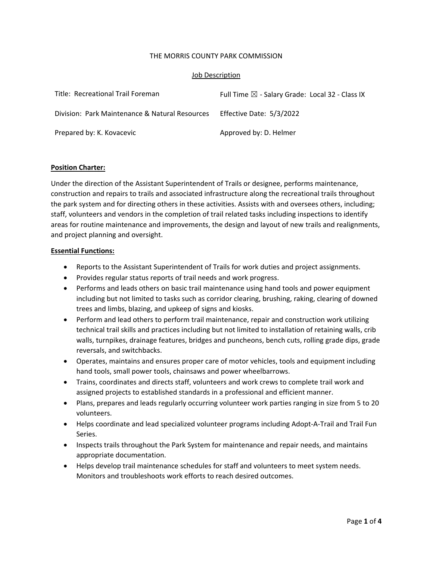#### THE MORRIS COUNTY PARK COMMISSION

#### Job Description

| Title: Recreational Trail Foreman              | Full Time $\boxtimes$ - Salary Grade: Local 32 - Class IX |
|------------------------------------------------|-----------------------------------------------------------|
| Division: Park Maintenance & Natural Resources | Effective Date: 5/3/2022                                  |
| Prepared by: K. Kovacevic                      | Approved by: D. Helmer                                    |

### **Position Charter:**

Under the direction of the Assistant Superintendent of Trails or designee, performs maintenance, construction and repairs to trails and associated infrastructure along the recreational trails throughout the park system and for directing others in these activities. Assists with and oversees others, including; staff, volunteers and vendors in the completion of trail related tasks including inspections to identify areas for routine maintenance and improvements, the design and layout of new trails and realignments, and project planning and oversight.

#### **Essential Functions:**

- Reports to the Assistant Superintendent of Trails for work duties and project assignments.
- Provides regular status reports of trail needs and work progress.
- Performs and leads others on basic trail maintenance using hand tools and power equipment including but not limited to tasks such as corridor clearing, brushing, raking, clearing of downed trees and limbs, blazing, and upkeep of signs and kiosks.
- Perform and lead others to perform trail maintenance, repair and construction work utilizing technical trail skills and practices including but not limited to installation of retaining walls, crib walls, turnpikes, drainage features, bridges and puncheons, bench cuts, rolling grade dips, grade reversals, and switchbacks.
- Operates, maintains and ensures proper care of motor vehicles, tools and equipment including hand tools, small power tools, chainsaws and power wheelbarrows.
- Trains, coordinates and directs staff, volunteers and work crews to complete trail work and assigned projects to established standards in a professional and efficient manner.
- Plans, prepares and leads regularly occurring volunteer work parties ranging in size from 5 to 20 volunteers.
- Helps coordinate and lead specialized volunteer programs including Adopt-A-Trail and Trail Fun Series.
- Inspects trails throughout the Park System for maintenance and repair needs, and maintains appropriate documentation.
- Helps develop trail maintenance schedules for staff and volunteers to meet system needs. Monitors and troubleshoots work efforts to reach desired outcomes.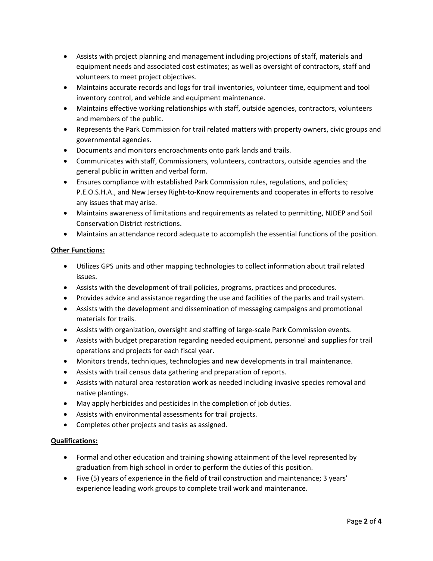- Assists with project planning and management including projections of staff, materials and equipment needs and associated cost estimates; as well as oversight of contractors, staff and volunteers to meet project objectives.
- Maintains accurate records and logs for trail inventories, volunteer time, equipment and tool inventory control, and vehicle and equipment maintenance.
- Maintains effective working relationships with staff, outside agencies, contractors, volunteers and members of the public.
- Represents the Park Commission for trail related matters with property owners, civic groups and governmental agencies.
- Documents and monitors encroachments onto park lands and trails.
- Communicates with staff, Commissioners, volunteers, contractors, outside agencies and the general public in written and verbal form.
- Ensures compliance with established Park Commission rules, regulations, and policies; P.E.O.S.H.A., and New Jersey Right‐to‐Know requirements and cooperates in efforts to resolve any issues that may arise.
- Maintains awareness of limitations and requirements as related to permitting, NJDEP and Soil Conservation District restrictions.
- Maintains an attendance record adequate to accomplish the essential functions of the position.

## **Other Functions:**

- Utilizes GPS units and other mapping technologies to collect information about trail related issues.
- Assists with the development of trail policies, programs, practices and procedures.
- Provides advice and assistance regarding the use and facilities of the parks and trail system.
- Assists with the development and dissemination of messaging campaigns and promotional materials for trails.
- Assists with organization, oversight and staffing of large‐scale Park Commission events.
- Assists with budget preparation regarding needed equipment, personnel and supplies for trail operations and projects for each fiscal year.
- Monitors trends, techniques, technologies and new developments in trail maintenance.
- Assists with trail census data gathering and preparation of reports.
- Assists with natural area restoration work as needed including invasive species removal and native plantings.
- May apply herbicides and pesticides in the completion of job duties.
- Assists with environmental assessments for trail projects.
- Completes other projects and tasks as assigned.

## **Qualifications:**

- Formal and other education and training showing attainment of the level represented by graduation from high school in order to perform the duties of this position.
- Five (5) years of experience in the field of trail construction and maintenance; 3 years' experience leading work groups to complete trail work and maintenance.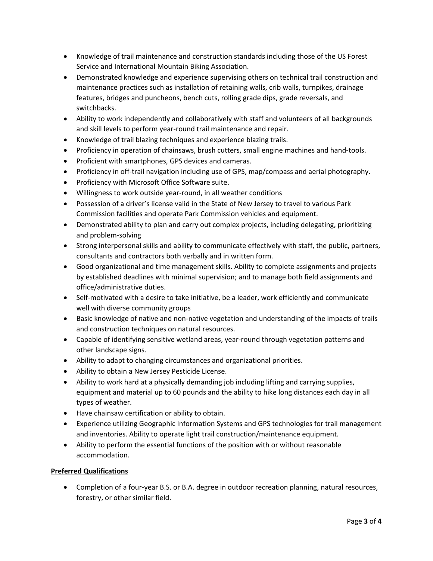- Knowledge of trail maintenance and construction standards including those of the US Forest Service and International Mountain Biking Association.
- Demonstrated knowledge and experience supervising others on technical trail construction and maintenance practices such as installation of retaining walls, crib walls, turnpikes, drainage features, bridges and puncheons, bench cuts, rolling grade dips, grade reversals, and switchbacks.
- Ability to work independently and collaboratively with staff and volunteers of all backgrounds and skill levels to perform year‐round trail maintenance and repair.
- Knowledge of trail blazing techniques and experience blazing trails.
- Proficiency in operation of chainsaws, brush cutters, small engine machines and hand-tools.
- Proficient with smartphones, GPS devices and cameras.
- Proficiency in off-trail navigation including use of GPS, map/compass and aerial photography.
- Proficiency with Microsoft Office Software suite.
- Willingness to work outside year-round, in all weather conditions
- Possession of a driver's license valid in the State of New Jersey to travel to various Park Commission facilities and operate Park Commission vehicles and equipment.
- Demonstrated ability to plan and carry out complex projects, including delegating, prioritizing and problem‐solving
- Strong interpersonal skills and ability to communicate effectively with staff, the public, partners, consultants and contractors both verbally and in written form.
- Good organizational and time management skills. Ability to complete assignments and projects by established deadlines with minimal supervision; and to manage both field assignments and office/administrative duties.
- Self-motivated with a desire to take initiative, be a leader, work efficiently and communicate well with diverse community groups
- Basic knowledge of native and non-native vegetation and understanding of the impacts of trails and construction techniques on natural resources.
- Capable of identifying sensitive wetland areas, year-round through vegetation patterns and other landscape signs.
- Ability to adapt to changing circumstances and organizational priorities.
- Ability to obtain a New Jersey Pesticide License.
- Ability to work hard at a physically demanding job including lifting and carrying supplies, equipment and material up to 60 pounds and the ability to hike long distances each day in all types of weather.
- Have chainsaw certification or ability to obtain.
- Experience utilizing Geographic Information Systems and GPS technologies for trail management and inventories. Ability to operate light trail construction/maintenance equipment.
- Ability to perform the essential functions of the position with or without reasonable accommodation.

# **Preferred Qualifications**

● Completion of a four-year B.S. or B.A. degree in outdoor recreation planning, natural resources, forestry, or other similar field.